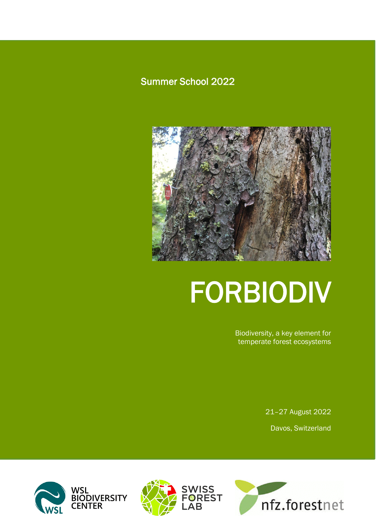# Summer School 2022



# FORBIODIV

Biodiversity, a key element for temperate forest ecosystems

> 21–27 August 2022 Davos, Switzerland





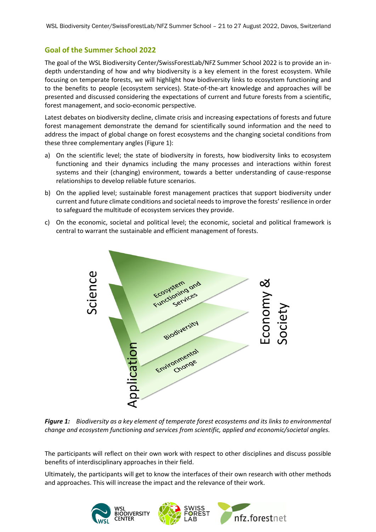### **Goal of the Summer School 2022**

The goal of the WSL Biodiversity Center/SwissForestLab/NFZ Summer School 2022 is to provide an indepth understanding of how and why biodiversity is a key element in the forest ecosystem. While focusing on temperate forests, we will highlight how biodiversity links to ecosystem functioning and to the benefits to people (ecosystem services). State-of-the-art knowledge and approaches will be presented and discussed considering the expectations of current and future forests from a scientific, forest management, and socio-economic perspective.

Latest debates on biodiversity decline, climate crisis and increasing expectations of forests and future forest management demonstrate the demand for scientifically sound information and the need to address the impact of global change on forest ecosystems and the changing societal conditions from these three complementary angles (Figure 1):

- a) On the scientific level; the state of biodiversity in forests, how biodiversity links to ecosystem functioning and their dynamics including the many processes and interactions within forest systems and their (changing) environment, towards a better understanding of cause-response relationships to develop reliable future scenarios.
- b) On the applied level; sustainable forest management practices that support biodiversity under current and future climate conditions and societal needs to improve the forests' resilience in order to safeguard the multitude of ecosystem services they provide.
- c) On the economic, societal and political level; the economic, societal and political framework is central to warrant the sustainable and efficient management of forests.



*Figure 1: Biodiversity as a key element of temperate forest ecosystems and its links to environmental change and ecosystem functioning and services from scientific, applied and economic/societal angles.*

The participants will reflect on their own work with respect to other disciplines and discuss possible benefits of interdisciplinary approaches in their field.

Ultimately, the participants will get to know the interfaces of their own research with other methods and approaches. This will increase the impact and the relevance of their work.

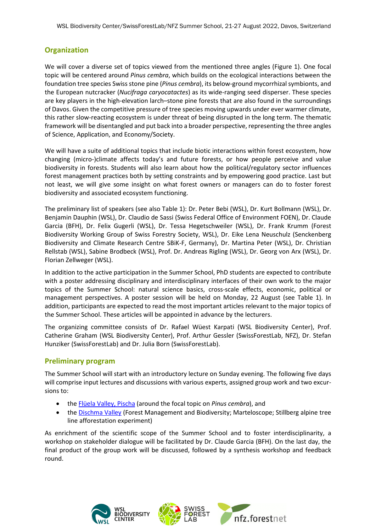# **Organization**

We will cover a diverse set of topics viewed from the mentioned three angles (Figure 1). One focal topic will be centered around *Pinus cembra*, which builds on the ecological interactions between the foundation tree species Swiss stone pine (*Pinus cembra*), its below-ground mycorrhizal symbionts, and the European nutcracker (*Nucifraga caryocatactes*) as its wide-ranging seed disperser. These species are key players in the high-elevation larch–stone pine forests that are also found in the surroundings of Davos. Given the competitive pressure of tree species moving upwards under ever warmer climate, this rather slow-reacting ecosystem is under threat of being disrupted in the long term. The thematic framework will be disentangled and put back into a broader perspective, representing the three angles of Science, Application, and Economy/Society.

We will have a suite of additional topics that include biotic interactions within forest ecosystem, how changing (micro-)climate affects today's and future forests, or how people perceive and value biodiversity in forests. Students will also learn about how the political/regulatory sector influences forest management practices both by setting constraints and by empowering good practice. Last but not least, we will give some insight on what forest owners or managers can do to foster forest biodiversity and associated ecosystem functioning.

The preliminary list of speakers (see also Table 1): Dr. Peter Bebi (WSL), Dr. Kurt Bollmann (WSL), Dr. Benjamin Dauphin (WSL), Dr. Claudio de Sassi (Swiss Federal Office of Environment FOEN), Dr. Claude Garcia (BFH), Dr. Felix Gugerli (WSL), Dr. Tessa Hegetschweiler (WSL), Dr. Frank Krumm (Forest Biodiversity Working Group of Swiss Forestry Society, WSL), Dr. Eike Lena Neuschulz (Senckenberg Biodiversity and Climate Research Centre SBiK-F, Germany), Dr. Martina Peter (WSL), Dr. Christian Rellstab (WSL), Sabine Brodbeck (WSL), Prof. Dr. Andreas Rigling (WSL), Dr. Georg von Arx (WSL), Dr. Florian Zellweger (WSL).

In addition to the active participation in the Summer School, PhD students are expected to contribute with a poster addressing disciplinary and interdisciplinary interfaces of their own work to the major topics of the Summer School: natural science basics, cross-scale effects, economic, political or management perspectives. A poster session will be held on Monday, 22 August (see Table 1). In addition, participants are expected to read the most important articles relevant to the major topics of the Summer School. These articles will be appointed in advance by the lecturers.

The organizing committee consists of Dr. Rafael Wüest Karpati (WSL Biodiversity Center), Prof. Catherine Graham (WSL Biodiversity Center), Prof. Arthur Gessler (SwissForestLab, NFZ), Dr. Stefan Hunziker (SwissForestLab) and Dr. Julia Born (SwissForestLab).

#### **Preliminary program**

The Summer School will start with an introductory lecture on Sunday evening. The following five days will comprise input lectures and discussions with various experts, assigned group work and two excursions to:

- [the Flüela Valley, Pischa](https://map.geo.admin.ch/?lang=en&topic=ech&bgLayer=ch.swisstopo.pixelkarte-farbe&layers=ch.swisstopo.zeitreihen,ch.bfs.gebaeude_wohnungs_register,ch.bav.haltestellen-oev,ch.swisstopo.swisstlm3d-wanderwege,ch.astra.wanderland-sperrungen_umleitungen&layers_opacity=1,1,1,0.8,0.8&layers_visibility=false,false,false,false,false&layers_timestamp=18641231,,,,&E=2787875&N=1186783&zoom=7&crosshair=marker) (around the focal topic on *Pinus cembra*), and
- the [Dischma Valley](https://map.geo.admin.ch/?lang=en&topic=ech&bgLayer=ch.swisstopo.pixelkarte-farbe&layers=ch.swisstopo.zeitreihen,ch.bfs.gebaeude_wohnungs_register,ch.bav.haltestellen-oev,ch.swisstopo.swisstlm3d-wanderwege,ch.astra.wanderland-sperrungen_umleitungen&layers_opacity=1,1,1,0.8,0.8&layers_visibility=false,false,false,false,false&layers_timestamp=18641231,,,,&E=2785648&N=1183208&zoom=7&crosshair=marker) (Forest Management and Biodiversity; Marteloscope; Stillberg alpine tree line afforestation experiment)

As enrichment of the scientific scope of the Summer School and to foster interdisciplinarity, a workshop on stakeholder dialogue will be facilitated by Dr. Claude Garcia (BFH). On the last day, the final product of the group work will be discussed, followed by a synthesis workshop and feedback round.